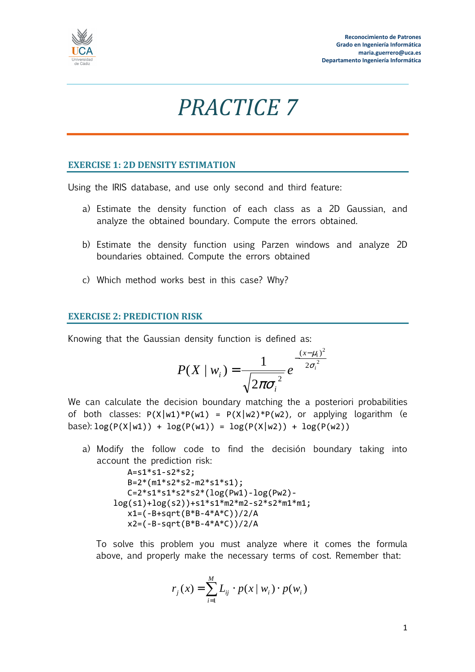

## *PRACTICE 7*

## **EXERCISE 1: 2D DENSITY ESTIMATION**

Using the IRIS database, and use only second and third feature:

- a) Estimate the density function of each class as a 2D Gaussian, and analyze the obtained boundary. Compute the errors obtained.
- b) Estimate the density function using Parzen windows and analyze 2D boundaries obtained. Compute the errors obtained
- c) Which method works best in this case? Why?

## **EXERCISE 2: PREDICTION RISK**

Knowing that the Gaussian density function is defined as:

$$
P(X \mid w_i) = \frac{1}{\sqrt{2\pi\sigma_i^2}} e^{-\frac{(x-\mu_i)^2}{2\sigma_i^2}}
$$

We can calculate the decision boundary matching the a posteriori probabilities of both classes:  $P(X|w1)*P(w1) = P(X|w2)*P(w2)$ , or applying logarithm (e base):  $log(P(X|w1)) + log(P(w1)) = log(P(X|w2)) + log(P(w2))$ 

- a) Modify the follow code to find the decisión boundary taking into account the prediction risk:  $A = s1 * s1 - s2 * s2;$  $B=2*(m1*s2*s2-m2*s1*s1);$ 
	- C=2\*s1\*s1\*s2\*s2\*(log(Pw1)-log(Pw2) log(s1)+log(s2))+s1\*s1\*m2\*m2-s2\*s2\*m1\*m1; x1=(-B+sqrt(B\*B-4\*A\*C))/2/A x2=(-B-sqrt(B\*B-4\*A\*C))/2/A

To solve this problem you must analyze where it comes the formula above, and properly make the necessary terms of cost. Remember that:

$$
r_j(x) = \sum_{i=1}^{M} L_{ij} \cdot p(x \mid w_i) \cdot p(w_i)
$$